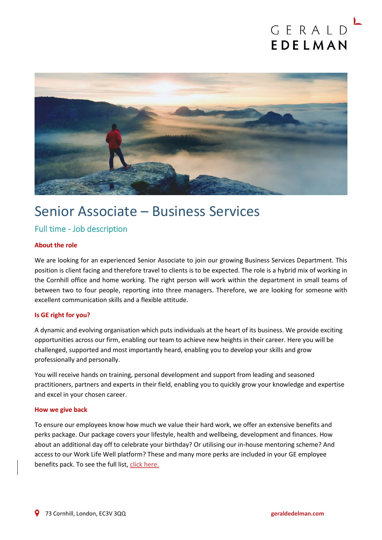# GERALD EDELMAN



## Senior Associate – Business Services

### Full time - Job description

#### **About the role**

We are looking for an experienced Senior Associate to join our growing Business Services Department. This position is client facing and therefore travel to clients is to be expected. The role is a hybrid mix of working in the Cornhill office and home working. The right person will work within the department in small teams of between two to four people, reporting into three managers. Therefore, we are looking for someone with excellent communication skills and a flexible attitude.

#### **Is GE right for you?**

A dynamic and evolving organisation which puts individuals at the heart of its business. We provide exciting opportunities across our firm, enabling our team to achieve new heights in their career. Here you will be challenged, supported and most importantly heard, enabling you to develop your skills and grow professionally and personally.

You will receive hands on training, personal development and support from leading and seasoned practitioners, partners and experts in their field, enabling you to quickly grow your knowledge and expertise and excel in your chosen career.

#### **How we give back**

To ensure our employees know how much we value their hard work, we offer an extensive benefits and perks package. Our package covers your lifestyle, health and wellbeing, development and finances. How about an additional day off to celebrate your birthday? Or utilising our in-house mentoring scheme? And access to our Work Life Well platform? These and many more perks are included in your GE employee benefits pack. To see the full list[, click here.](file://///ge.local/shares$/CompanyData/Reference/MARKETING/HR/Firm%20recruitment/Why%20work%20at%20Gerald%20Edelman%20updated.pdf)